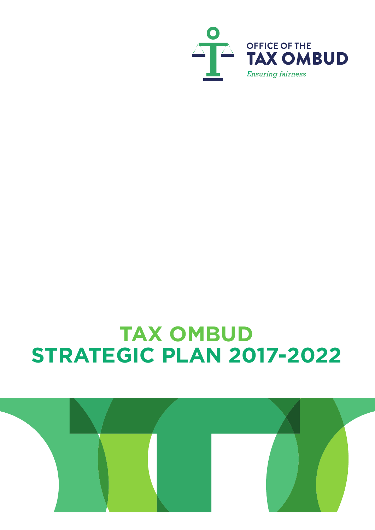

# **TAX OMBUD STRATEGIC PLAN 2017-2022**

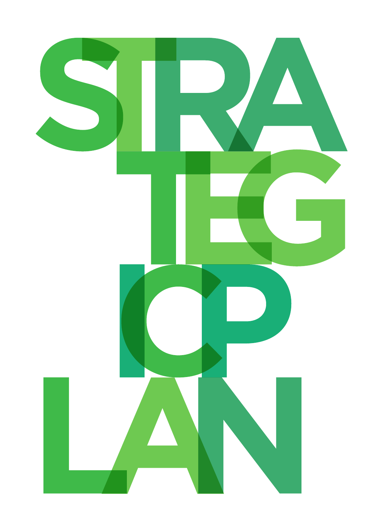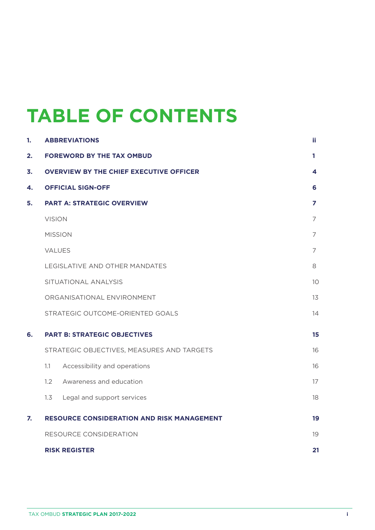# **TABLE OF CONTENTS**

| 1. |               | <b>ABBREVIATIONS</b>                              | ii.            |
|----|---------------|---------------------------------------------------|----------------|
| 2. |               | <b>FOREWORD BY THE TAX OMBUD</b>                  | 1              |
| 3. |               | <b>OVERVIEW BY THE CHIEF EXECUTIVE OFFICER</b>    | 4              |
| 4. |               | <b>OFFICIAL SIGN-OFF</b>                          | 6              |
| 5. |               | <b>PART A: STRATEGIC OVERVIEW</b>                 | 7              |
|    | <b>VISION</b> |                                                   | 7              |
|    |               | <b>MISSION</b>                                    | $\overline{7}$ |
|    | <b>VALUES</b> |                                                   | $\overline{7}$ |
|    |               | LEGISLATIVE AND OTHER MANDATES                    | 8              |
|    |               | SITUATIONAL ANALYSIS                              | 10             |
|    |               | ORGANISATIONAL ENVIRONMENT                        | 13             |
|    |               | STRATEGIC OUTCOME-ORIENTED GOALS                  | 14             |
| 6. |               | <b>PART B: STRATEGIC OBJECTIVES</b>               | 15             |
|    |               | STRATEGIC OBJECTIVES, MEASURES AND TARGETS        | 16             |
|    | 1.1           | Accessibility and operations                      | 16             |
|    | 1.2           | Awareness and education                           | 17             |
|    | 1.3           | Legal and support services                        | 18             |
| 7. |               | <b>RESOURCE CONSIDERATION AND RISK MANAGEMENT</b> | 19             |
|    |               | RESOURCE CONSIDERATION                            | 19             |
|    |               | <b>RISK REGISTER</b>                              | 21             |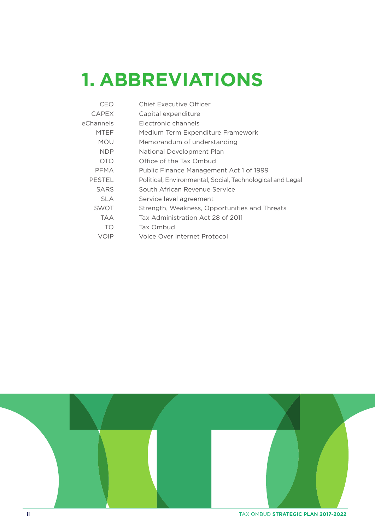# **1. ABBREVIATIONS**

| CEO           | <b>Chief Executive Officer</b>                            |
|---------------|-----------------------------------------------------------|
| <b>CAPEX</b>  | Capital expenditure                                       |
| eChannels     | Flectronic channels                                       |
| <b>MTEF</b>   | Medium Term Expenditure Framework                         |
| <b>MOU</b>    | Memorandum of understanding                               |
| <b>NDP</b>    | National Development Plan                                 |
| <b>OTO</b>    | Office of the Tax Ombud                                   |
| PFMA.         | Public Finance Management Act 1 of 1999                   |
| <b>PESTEL</b> | Political, Environmental, Social, Technological and Legal |
| <b>SARS</b>   | South African Revenue Service                             |
| <b>SLA</b>    | Service level agreement                                   |
| <b>SWOT</b>   | Strength, Weakness, Opportunities and Threats             |
| TAA           | Tax Administration Act 28 of 2011                         |
| TO            | Tax Ombud                                                 |
| VOIP          | Voice Over Internet Protocol                              |

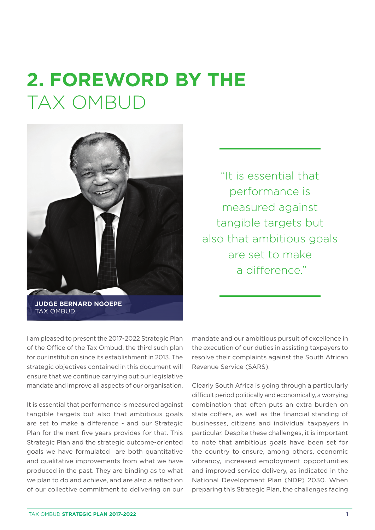# **2. FOREWORD BY THE**  TAX OMBUD



"It is essential that performance is measured against tangible targets but also that ambitious goals are set to make a difference."

I am pleased to present the 2017-2022 Strategic Plan of the Office of the Tax Ombud, the third such plan for our institution since its establishment in 2013. The strategic objectives contained in this document will ensure that we continue carrying out our legislative mandate and improve all aspects of our organisation.

It is essential that performance is measured against tangible targets but also that ambitious goals are set to make a difference - and our Strategic Plan for the next five years provides for that. This Strategic Plan and the strategic outcome-oriented goals we have formulated are both quantitative and qualitative improvements from what we have produced in the past. They are binding as to what we plan to do and achieve, and are also a reflection of our collective commitment to delivering on our

mandate and our ambitious pursuit of excellence in the execution of our duties in assisting taxpayers to resolve their complaints against the South African Revenue Service (SARS).

Clearly South Africa is going through a particularly difficult period politically and economically, a worrying combination that often puts an extra burden on state coffers, as well as the financial standing of businesses, citizens and individual taxpayers in particular. Despite these challenges, it is important to note that ambitious goals have been set for the country to ensure, among others, economic vibrancy, increased employment opportunities and improved service delivery, as indicated in the National Development Plan (NDP) 2030. When preparing this Strategic Plan, the challenges facing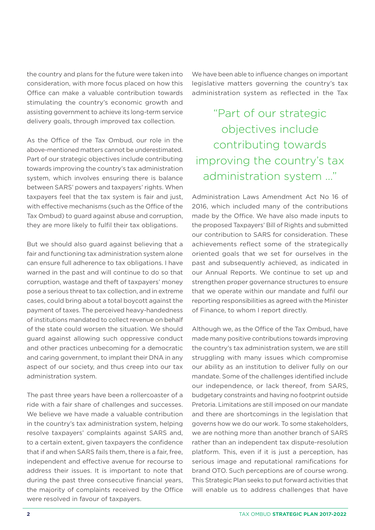the country and plans for the future were taken into consideration, with more focus placed on how this Office can make a valuable contribution towards stimulating the country's economic growth and assisting government to achieve its long-term service delivery goals, through improved tax collection.

As the Office of the Tax Ombud, our role in the above-mentioned matters cannot be underestimated. Part of our strategic objectives include contributing towards improving the country's tax administration system, which involves ensuring there is balance between SARS' powers and taxpayers' rights. When taxpayers feel that the tax system is fair and just, with effective mechanisms (such as the Office of the Tax Ombud) to guard against abuse and corruption, they are more likely to fulfil their tax obligations.

But we should also guard against believing that a fair and functioning tax administration system alone can ensure full adherence to tax obligations. I have warned in the past and will continue to do so that corruption, wastage and theft of taxpayers' money pose a serious threat to tax collection, and in extreme cases, could bring about a total boycott against the payment of taxes. The perceived heavy-handedness of institutions mandated to collect revenue on behalf of the state could worsen the situation. We should guard against allowing such oppressive conduct and other practices unbecoming for a democratic and caring government, to implant their DNA in any aspect of our society, and thus creep into our tax administration system.

The past three years have been a rollercoaster of a ride with a fair share of challenges and successes. We believe we have made a valuable contribution in the country's tax administration system, helping resolve taxpayers' complaints against SARS and, to a certain extent, given taxpayers the confidence that if and when SARS fails them, there is a fair, free, independent and effective avenue for recourse to address their issues. It is important to note that during the past three consecutive financial years, the majority of complaints received by the Office were resolved in favour of taxpayers.

We have been able to influence changes on important legislative matters governing the country's tax administration system as reflected in the Tax

"Part of our strategic objectives include contributing towards improving the country's tax administration system ..."

Administration Laws Amendment Act No 16 of 2016, which included many of the contributions made by the Office. We have also made inputs to the proposed Taxpayers' Bill of Rights and submitted our contribution to SARS for consideration. These achievements reflect some of the strategically oriented goals that we set for ourselves in the past and subsequently achieved, as indicated in our Annual Reports. We continue to set up and strengthen proper governance structures to ensure that we operate within our mandate and fulfil our reporting responsibilities as agreed with the Minister of Finance, to whom I report directly.

Although we, as the Office of the Tax Ombud, have made many positive contributions towards improving the country's tax administration system, we are still struggling with many issues which compromise our ability as an institution to deliver fully on our mandate. Some of the challenges identified include our independence, or lack thereof, from SARS, budgetary constraints and having no footprint outside Pretoria. Limitations are still imposed on our mandate and there are shortcomings in the legislation that governs how we do our work. To some stakeholders, we are nothing more than another branch of SARS rather than an independent tax dispute-resolution platform. This, even if it is just a perception, has serious image and reputational ramifications for brand OTO. Such perceptions are of course wrong. This Strategic Plan seeks to put forward activities that will enable us to address challenges that have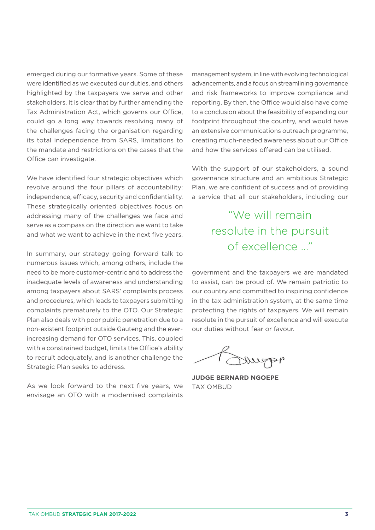emerged during our formative years. Some of these were identified as we executed our duties, and others highlighted by the taxpayers we serve and other stakeholders. It is clear that by further amending the Tax Administration Act, which governs our Office, could go a long way towards resolving many of the challenges facing the organisation regarding its total independence from SARS, limitations to the mandate and restrictions on the cases that the Office can investigate.

We have identified four strategic objectives which revolve around the four pillars of accountability: independence, efficacy, security and confidentiality. These strategically oriented objectives focus on addressing many of the challenges we face and serve as a compass on the direction we want to take and what we want to achieve in the next five years.

In summary, our strategy going forward talk to numerous issues which, among others, include the need to be more customer-centric and to address the inadequate levels of awareness and understanding among taxpayers about SARS' complaints process and procedures, which leads to taxpayers submitting complaints prematurely to the OTO. Our Strategic Plan also deals with poor public penetration due to a non-existent footprint outside Gauteng and the everincreasing demand for OTO services. This, coupled with a constrained budget, limits the Office's ability to recruit adequately, and is another challenge the Strategic Plan seeks to address.

As we look forward to the next five years, we envisage an OTO with a modernised complaints

management system, in line with evolving technological advancements, and a focus on streamlining governance and risk frameworks to improve compliance and reporting. By then, the Office would also have come to a conclusion about the feasibility of expanding our footprint throughout the country, and would have an extensive communications outreach programme, creating much-needed awareness about our Office and how the services offered can be utilised.

With the support of our stakeholders, a sound governance structure and an ambitious Strategic Plan, we are confident of success and of providing a service that all our stakeholders, including our

> "We will remain resolute in the pursuit of excellence ..."

government and the taxpayers we are mandated to assist, can be proud of. We remain patriotic to our country and committed to inspiring confidence in the tax administration system, at the same time protecting the rights of taxpayers. We will remain resolute in the pursuit of excellence and will execute our duties without fear or favour.

Mugpp

**JUDGE BERNARD NGOEPE** TAX OMBUD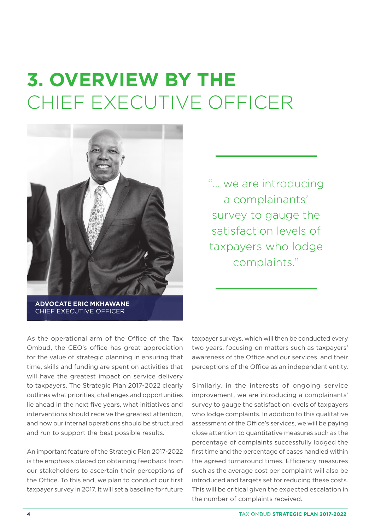# **3. OVERVIEW BY THE** CHIEF EXECUTIVE OFFICER



**ADVOCATE ERIC MKHAWANE** CHIEF EXECUTIVE OFFICER

"... we are introducing a complainants' survey to gauge the satisfaction levels of taxpayers who lodge complaints."

As the operational arm of the Office of the Tax Ombud, the CEO's office has great appreciation for the value of strategic planning in ensuring that time, skills and funding are spent on activities that will have the greatest impact on service delivery to taxpayers. The Strategic Plan 2017-2022 clearly outlines what priorities, challenges and opportunities lie ahead in the next five years, what initiatives and interventions should receive the greatest attention, and how our internal operations should be structured and run to support the best possible results.

An important feature of the Strategic Plan 2017-2022 is the emphasis placed on obtaining feedback from our stakeholders to ascertain their perceptions of the Office. To this end, we plan to conduct our first taxpayer survey in 2017. It will set a baseline for future

taxpayer surveys, which will then be conducted every two years, focusing on matters such as taxpayers' awareness of the Office and our services, and their perceptions of the Office as an independent entity.

Similarly, in the interests of ongoing service improvement, we are introducing a complainants' survey to gauge the satisfaction levels of taxpayers who lodge complaints. In addition to this qualitative assessment of the Office's services, we will be paying close attention to quantitative measures such as the percentage of complaints successfully lodged the first time and the percentage of cases handled within the agreed turnaround times. Efficiency measures such as the average cost per complaint will also be introduced and targets set for reducing these costs. This will be critical given the expected escalation in the number of complaints received.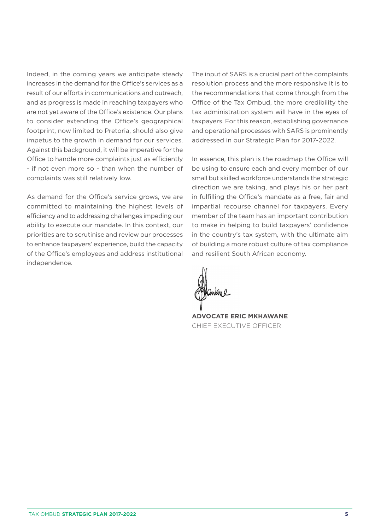Indeed, in the coming years we anticipate steady increases in the demand for the Office's services as a result of our efforts in communications and outreach, and as progress is made in reaching taxpayers who are not yet aware of the Office's existence. Our plans to consider extending the Office's geographical footprint, now limited to Pretoria, should also give impetus to the growth in demand for our services. Against this background, it will be imperative for the Office to handle more complaints just as efficiently - if not even more so - than when the number of complaints was still relatively low.

As demand for the Office's service grows, we are committed to maintaining the highest levels of efficiency and to addressing challenges impeding our ability to execute our mandate. In this context, our priorities are to scrutinise and review our processes to enhance taxpayers' experience, build the capacity of the Office's employees and address institutional independence.

The input of SARS is a crucial part of the complaints resolution process and the more responsive it is to the recommendations that come through from the Office of the Tax Ombud, the more credibility the tax administration system will have in the eyes of taxpayers. For this reason, establishing governance and operational processes with SARS is prominently addressed in our Strategic Plan for 2017-2022.

In essence, this plan is the roadmap the Office will be using to ensure each and every member of our small but skilled workforce understands the strategic direction we are taking, and plays his or her part in fulfilling the Office's mandate as a free, fair and impartial recourse channel for taxpayers. Every member of the team has an important contribution to make in helping to build taxpayers' confidence in the country's tax system, with the ultimate aim of building a more robust culture of tax compliance and resilient South African economy.

**ADVOCATE ERIC MKHAWANE** CHIEF EXECUTIVE OFFICER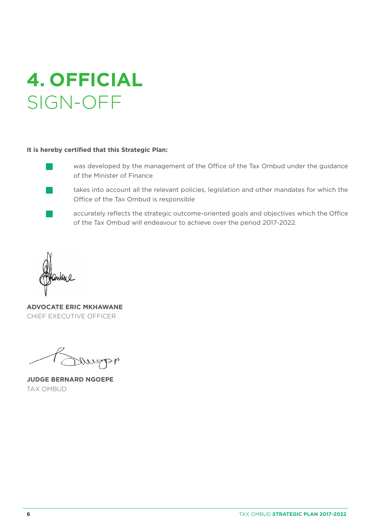# **4. OFFICIAL** SIGN-OFF

#### **It is hereby certified that this Strategic Plan:**



was developed by the management of the Office of the Tax Ombud under the guidance of the Minister of Finance

takes into account all the relevant policies, legislation and other mandates for which the Office of the Tax Ombud is responsible

accurately reflects the strategic outcome-oriented goals and objectives which the Office of the Tax Ombud will endeavour to achieve over the period 2017-2022.

**ADVOCATE ERIC MKHAWANE** CHIEF EXECUTIVE OFFICER

report

**JUDGE BERNARD NGOEPE** TAX OMBUD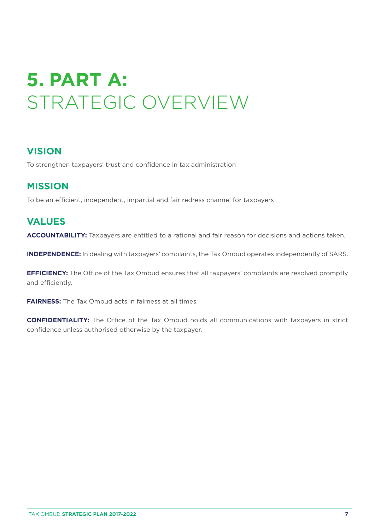# **5. PART A:** STRATEGIC OVERVIEW

# **VISION**

To strengthen taxpayers' trust and confidence in tax administration

# **MISSION**

To be an efficient, independent, impartial and fair redress channel for taxpayers

# **VALUES**

**ACCOUNTABILITY:** Taxpayers are entitled to a rational and fair reason for decisions and actions taken.

**INDEPENDENCE:** In dealing with taxpayers' complaints, the Tax Ombud operates independently of SARS.

**EFFICIENCY:** The Office of the Tax Ombud ensures that all taxpayers' complaints are resolved promptly and efficiently.

**FAIRNESS:** The Tax Ombud acts in fairness at all times.

**CONFIDENTIALITY:** The Office of the Tax Ombud holds all communications with taxpayers in strict confidence unless authorised otherwise by the taxpayer.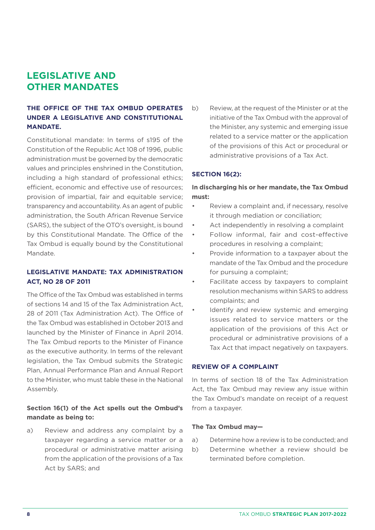# **LEGISLATIVE AND OTHER MANDATES**

## **THE OFFICE OF THE TAX OMBUD OPERATES UNDER A LEGISLATIVE AND CONSTITUTIONAL MANDATE.**

Constitutional mandate: In terms of s195 of the Constitution of the Republic Act 108 of 1996, public administration must be governed by the democratic values and principles enshrined in the Constitution, including a high standard of professional ethics; efficient, economic and effective use of resources; provision of impartial, fair and equitable service; transparency and accountability. As an agent of public administration, the South African Revenue Service (SARS), the subject of the OTO's oversight, is bound by this Constitutional Mandate. The Office of the Tax Ombud is equally bound by the Constitutional Mandate.

## **LEGISLATIVE MANDATE: TAX ADMINISTRATION ACT, NO 28 OF 2011**

The Office of the Tax Ombud was established in terms of sections 14 and 15 of the Tax Administration Act, 28 of 2011 (Tax Administration Act). The Office of the Tax Ombud was established in October 2013 and launched by the Minister of Finance in April 2014. The Tax Ombud reports to the Minister of Finance as the executive authority. In terms of the relevant legislation, the Tax Ombud submits the Strategic Plan, Annual Performance Plan and Annual Report to the Minister, who must table these in the National Assembly.

## **Section 16(1) of the Act spells out the Ombud's mandate as being to:**

a) Review and address any complaint by a taxpayer regarding a service matter or a procedural or administrative matter arising from the application of the provisions of a Tax Act by SARS; and

b) Review, at the request of the Minister or at the initiative of the Tax Ombud with the approval of the Minister, any systemic and emerging issue related to a service matter or the application of the provisions of this Act or procedural or administrative provisions of a Tax Act.

## **SECTION 16(2):**

## **In discharging his or her mandate, the Tax Ombud must:**

- Review a complaint and, if necessary, resolve it through mediation or conciliation;
- Act independently in resolving a complaint
- Follow informal, fair and cost-effective procedures in resolving a complaint;
- Provide information to a taxpayer about the mandate of the Tax Ombud and the procedure for pursuing a complaint;
- Facilitate access by taxpayers to complaint resolution mechanisms within SARS to address complaints; and
- Identify and review systemic and emerging issues related to service matters or the application of the provisions of this Act or procedural or administrative provisions of a Tax Act that impact negatively on taxpayers.

### **REVIEW OF A COMPLAINT**

In terms of section 18 of the Tax Administration Act, the Tax Ombud may review any issue within the Tax Ombud's mandate on receipt of a request from a taxpayer.

### **The Tax Ombud may—**

- a) Determine how a review is to be conducted; and
- b) Determine whether a review should be terminated before completion.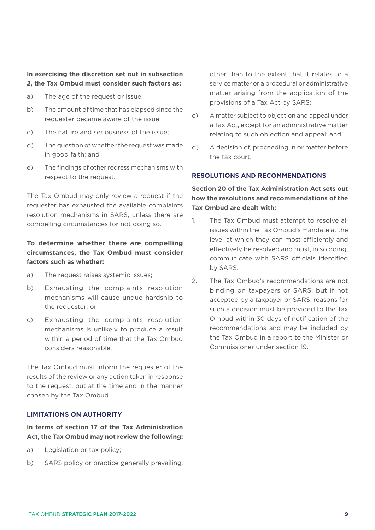### **In exercising the discretion set out in subsection 2, the Tax Ombud must consider such factors as:**

- a) The age of the request or issue;
- b) The amount of time that has elapsed since the requester became aware of the issue;
- c) The nature and seriousness of the issue;
- d) The question of whether the request was made in good faith; and
- e) The findings of other redress mechanisms with respect to the request.

The Tax Ombud may only review a request if the requester has exhausted the available complaints resolution mechanisms in SARS, unless there are compelling circumstances for not doing so.

## **To determine whether there are compelling circumstances, the Tax Ombud must consider factors such as whether:**

- a) The request raises systemic issues;
- b) Exhausting the complaints resolution mechanisms will cause undue hardship to the requester; or
- c) Exhausting the complaints resolution mechanisms is unlikely to produce a result within a period of time that the Tax Ombud considers reasonable.

The Tax Ombud must inform the requester of the results of the review or any action taken in response to the request, but at the time and in the manner chosen by the Tax Ombud.

### **LIMITATIONS ON AUTHORITY**

**In terms of section 17 of the Tax Administration Act, the Tax Ombud may not review the following:**

- a) Legislation or tax policy;
- b) SARS policy or practice generally prevailing,

other than to the extent that it relates to a service matter or a procedural or administrative matter arising from the application of the provisions of a Tax Act by SARS;

- c) A matter subject to objection and appeal under a Tax Act, except for an administrative matter relating to such objection and appeal; and
- d) A decision of, proceeding in or matter before the tax court.

#### **RESOLUTIONS AND RECOMMENDATIONS**

**Section 20 of the Tax Administration Act sets out how the resolutions and recommendations of the Tax Ombud are dealt with:**

- 1. The Tax Ombud must attempt to resolve all issues within the Tax Ombud's mandate at the level at which they can most efficiently and effectively be resolved and must, in so doing, communicate with SARS officials identified by SARS.
- 2. The Tax Ombud's recommendations are not binding on taxpayers or SARS, but if not accepted by a taxpayer or SARS, reasons for such a decision must be provided to the Tax Ombud within 30 days of notification of the recommendations and may be included by the Tax Ombud in a report to the Minister or Commissioner under section 19.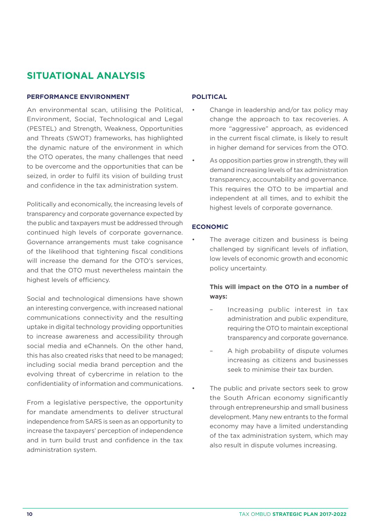# **SITUATIONAL ANALYSIS**

#### **PERFORMANCE ENVIRONMENT**

An environmental scan, utilising the Political, Environment, Social, Technological and Legal (PESTEL) and Strength, Weakness, Opportunities and Threats (SWOT) frameworks, has highlighted the dynamic nature of the environment in which the OTO operates, the many challenges that need to be overcome and the opportunities that can be seized, in order to fulfil its vision of building trust and confidence in the tax administration system.

Politically and economically, the increasing levels of transparency and corporate governance expected by the public and taxpayers must be addressed through continued high levels of corporate governance. Governance arrangements must take cognisance of the likelihood that tightening fiscal conditions will increase the demand for the OTO's services. and that the OTO must nevertheless maintain the highest levels of efficiency.

Social and technological dimensions have shown an interesting convergence, with increased national communications connectivity and the resulting uptake in digital technology providing opportunities to increase awareness and accessibility through social media and eChannels. On the other hand, this has also created risks that need to be managed; including social media brand perception and the evolving threat of cybercrime in relation to the confidentiality of information and communications.

From a legislative perspective, the opportunity for mandate amendments to deliver structural independence from SARS is seen as an opportunity to increase the taxpayers' perception of independence and in turn build trust and confidence in the tax administration system.

## **POLITICAL**

- Change in leadership and/or tax policy may change the approach to tax recoveries. A more "aggressive" approach, as evidenced in the current fiscal climate, is likely to result in higher demand for services from the OTO.
- As opposition parties grow in strength, they will demand increasing levels of tax administration transparency, accountability and governance. This requires the OTO to be impartial and independent at all times, and to exhibit the highest levels of corporate governance.

### **ECONOMIC**

The average citizen and business is being challenged by significant levels of inflation, low levels of economic growth and economic policy uncertainty.

## **This will impact on the OTO in a number of ways:**

- Increasing public interest in tax administration and public expenditure, requiring the OTO to maintain exceptional transparency and corporate governance.
- A high probability of dispute volumes increasing as citizens and businesses seek to minimise their tax burden.
- The public and private sectors seek to grow the South African economy significantly through entrepreneurship and small business development. Many new entrants to the formal economy may have a limited understanding of the tax administration system, which may also result in dispute volumes increasing.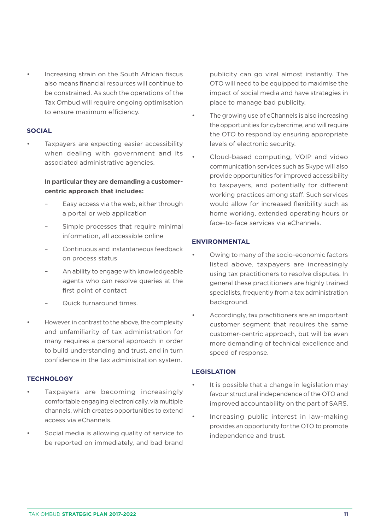• Increasing strain on the South African fiscus also means financial resources will continue to be constrained. As such the operations of the Tax Ombud will require ongoing optimisation to ensure maximum efficiency.

#### **SOCIAL**

Taxpayers are expecting easier accessibility when dealing with government and its associated administrative agencies.

### **In particular they are demanding a customercentric approach that includes:**

- Easy access via the web, either through a portal or web application
- Simple processes that require minimal information, all accessible online
- Continuous and instantaneous feedback on process status
- An ability to engage with knowledgeable agents who can resolve queries at the first point of contact
- Quick turnaround times.
- However, in contrast to the above, the complexity and unfamiliarity of tax administration for many requires a personal approach in order to build understanding and trust, and in turn confidence in the tax administration system.

### **TECHNOLOGY**

- Taxpayers are becoming increasingly comfortable engaging electronically, via multiple channels, which creates opportunities to extend access via eChannels.
- Social media is allowing quality of service to be reported on immediately, and bad brand

publicity can go viral almost instantly. The OTO will need to be equipped to maximise the impact of social media and have strategies in place to manage bad publicity.

- The growing use of eChannels is also increasing the opportunities for cybercrime, and will require the OTO to respond by ensuring appropriate levels of electronic security.
- Cloud-based computing, VOIP and video communication services such as Skype will also provide opportunities for improved accessibility to taxpayers, and potentially for different working practices among staff. Such services would allow for increased flexibility such as home working, extended operating hours or face-to-face services via eChannels.

#### **ENVIRONMENTAL**

- Owing to many of the socio-economic factors listed above, taxpayers are increasingly using tax practitioners to resolve disputes. In general these practitioners are highly trained specialists, frequently from a tax administration background.
- Accordingly, tax practitioners are an important customer segment that requires the same customer-centric approach, but will be even more demanding of technical excellence and speed of response.

### **LEGISLATION**

- It is possible that a change in legislation may favour structural independence of the OTO and improved accountability on the part of SARS.
- Increasing public interest in law-making provides an opportunity for the OTO to promote independence and trust.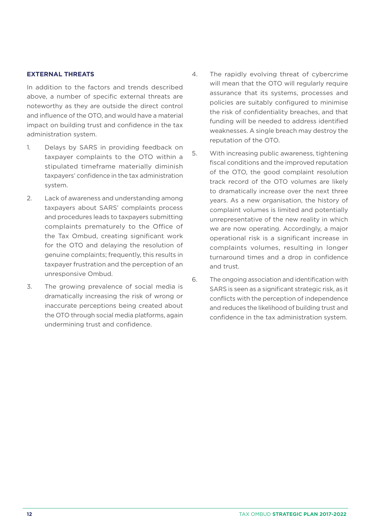#### **EXTERNAL THREATS**

In addition to the factors and trends described above, a number of specific external threats are noteworthy as they are outside the direct control and influence of the OTO, and would have a material impact on building trust and confidence in the tax administration system.

- 1. Delays by SARS in providing feedback on taxpayer complaints to the OTO within a stipulated timeframe materially diminish taxpayers' confidence in the tax administration system.
- 2. Lack of awareness and understanding among taxpayers about SARS' complaints process and procedures leads to taxpayers submitting complaints prematurely to the Office of the Tax Ombud, creating significant work for the OTO and delaying the resolution of genuine complaints; frequently, this results in taxpayer frustration and the perception of an unresponsive Ombud.
- 3. The growing prevalence of social media is dramatically increasing the risk of wrong or inaccurate perceptions being created about the OTO through social media platforms, again undermining trust and confidence.
- 4. The rapidly evolving threat of cybercrime will mean that the OTO will regularly require assurance that its systems, processes and policies are suitably configured to minimise the risk of confidentiality breaches, and that funding will be needed to address identified weaknesses. A single breach may destroy the reputation of the OTO.
- 5. With increasing public awareness, tightening fiscal conditions and the improved reputation of the OTO, the good complaint resolution track record of the OTO volumes are likely to dramatically increase over the next three years. As a new organisation, the history of complaint volumes is limited and potentially unrepresentative of the new reality in which we are now operating. Accordingly, a major operational risk is a significant increase in complaints volumes, resulting in longer turnaround times and a drop in confidence and trust.
- 6. The ongoing association and identification with SARS is seen as a significant strategic risk, as it conflicts with the perception of independence and reduces the likelihood of building trust and confidence in the tax administration system.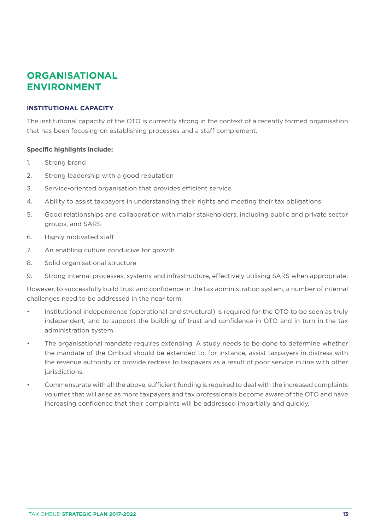# **ORGANISATIONAL ENVIRONMENT**

### **INSTITUTIONAL CAPACITY**

The institutional capacity of the OTO is currently strong in the context of a recently formed organisation that has been focusing on establishing processes and a staff complement.

#### **Specific highlights include:**

- 1. Strong brand
- 2. Strong leadership with a good reputation
- 3. Service-oriented organisation that provides efficient service
- 4. Ability to assist taxpayers in understanding their rights and meeting their tax obligations
- 5. Good relationships and collaboration with major stakeholders, including public and private sector groups, and SARS
- 6. Highly motivated staff
- 7. An enabling culture conducive for growth
- 8. Solid organisational structure
- 9. Strong internal processes, systems and infrastructure, effectively utilising SARS when appropriate.

However, to successfully build trust and confidence in the tax administration system, a number of internal challenges need to be addressed in the near term.

- Institutional independence (operational and structural) is required for the OTO to be seen as truly independent, and to support the building of trust and confidence in OTO and in turn in the tax administration system.
- The organisational mandate requires extending. A study needs to be done to determine whether the mandate of the Ombud should be extended to, for instance, assist taxpayers in distress with the revenue authority or provide redress to taxpayers as a result of poor service in line with other jurisdictions.
- Commensurate with all the above, sufficient funding is required to deal with the increased complaints volumes that will arise as more taxpayers and tax professionals become aware of the OTO and have increasing confidence that their complaints will be addressed impartially and quickly.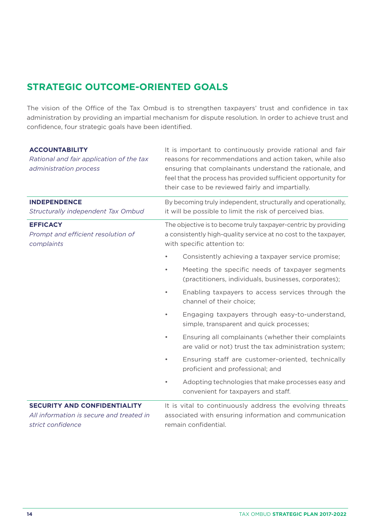# **STRATEGIC OUTCOME-ORIENTED GOALS**

The vision of the Office of the Tax Ombud is to strengthen taxpayers' trust and confidence in tax administration by providing an impartial mechanism for dispute resolution. In order to achieve trust and confidence, four strategic goals have been identified.

| By becoming truly independent, structurally and operationally,<br><b>INDEPENDENCE</b><br>it will be possible to limit the risk of perceived bias.<br>Structurally independent Tax Ombud<br><b>EFFICACY</b><br>The objective is to become truly taxpayer-centric by providing<br>Prompt and efficient resolution of<br>a consistently high-quality service at no cost to the taxpayer,<br>with specific attention to:<br>complaints<br>Consistently achieving a taxpayer service promise;<br>$\bullet$<br>Meeting the specific needs of taxpayer segments<br>$\bullet$<br>(practitioners, individuals, businesses, corporates);<br>Enabling taxpayers to access services through the<br>$\bullet$<br>channel of their choice;<br>Engaging taxpayers through easy-to-understand,<br>$\bullet$<br>simple, transparent and quick processes;<br>Ensuring all complainants (whether their complaints<br>$\bullet$<br>are valid or not) trust the tax administration system;<br>Ensuring staff are customer-oriented, technically<br>$\bullet$<br>proficient and professional; and<br>Adopting technologies that make processes easy and<br>$\bullet$<br>convenient for taxpayers and staff.<br>SECURITY AND CONFIDENTIALITY<br>It is vital to continuously address the evolving threats<br>All information is secure and treated in<br>associated with ensuring information and communication | <b>ACCOUNTABILITY</b><br>Rational and fair application of the tax<br>administration process | It is important to continuously provide rational and fair<br>reasons for recommendations and action taken, while also<br>ensuring that complainants understand the rationale, and<br>feel that the process has provided sufficient opportunity for<br>their case to be reviewed fairly and impartially. |  |  |  |  |
|-----------------------------------------------------------------------------------------------------------------------------------------------------------------------------------------------------------------------------------------------------------------------------------------------------------------------------------------------------------------------------------------------------------------------------------------------------------------------------------------------------------------------------------------------------------------------------------------------------------------------------------------------------------------------------------------------------------------------------------------------------------------------------------------------------------------------------------------------------------------------------------------------------------------------------------------------------------------------------------------------------------------------------------------------------------------------------------------------------------------------------------------------------------------------------------------------------------------------------------------------------------------------------------------------------------------------------------------------------------------------------------------|---------------------------------------------------------------------------------------------|---------------------------------------------------------------------------------------------------------------------------------------------------------------------------------------------------------------------------------------------------------------------------------------------------------|--|--|--|--|
|                                                                                                                                                                                                                                                                                                                                                                                                                                                                                                                                                                                                                                                                                                                                                                                                                                                                                                                                                                                                                                                                                                                                                                                                                                                                                                                                                                                         |                                                                                             |                                                                                                                                                                                                                                                                                                         |  |  |  |  |
|                                                                                                                                                                                                                                                                                                                                                                                                                                                                                                                                                                                                                                                                                                                                                                                                                                                                                                                                                                                                                                                                                                                                                                                                                                                                                                                                                                                         |                                                                                             |                                                                                                                                                                                                                                                                                                         |  |  |  |  |
|                                                                                                                                                                                                                                                                                                                                                                                                                                                                                                                                                                                                                                                                                                                                                                                                                                                                                                                                                                                                                                                                                                                                                                                                                                                                                                                                                                                         |                                                                                             |                                                                                                                                                                                                                                                                                                         |  |  |  |  |
|                                                                                                                                                                                                                                                                                                                                                                                                                                                                                                                                                                                                                                                                                                                                                                                                                                                                                                                                                                                                                                                                                                                                                                                                                                                                                                                                                                                         |                                                                                             |                                                                                                                                                                                                                                                                                                         |  |  |  |  |
|                                                                                                                                                                                                                                                                                                                                                                                                                                                                                                                                                                                                                                                                                                                                                                                                                                                                                                                                                                                                                                                                                                                                                                                                                                                                                                                                                                                         |                                                                                             |                                                                                                                                                                                                                                                                                                         |  |  |  |  |
|                                                                                                                                                                                                                                                                                                                                                                                                                                                                                                                                                                                                                                                                                                                                                                                                                                                                                                                                                                                                                                                                                                                                                                                                                                                                                                                                                                                         |                                                                                             |                                                                                                                                                                                                                                                                                                         |  |  |  |  |
|                                                                                                                                                                                                                                                                                                                                                                                                                                                                                                                                                                                                                                                                                                                                                                                                                                                                                                                                                                                                                                                                                                                                                                                                                                                                                                                                                                                         |                                                                                             |                                                                                                                                                                                                                                                                                                         |  |  |  |  |
|                                                                                                                                                                                                                                                                                                                                                                                                                                                                                                                                                                                                                                                                                                                                                                                                                                                                                                                                                                                                                                                                                                                                                                                                                                                                                                                                                                                         |                                                                                             |                                                                                                                                                                                                                                                                                                         |  |  |  |  |
|                                                                                                                                                                                                                                                                                                                                                                                                                                                                                                                                                                                                                                                                                                                                                                                                                                                                                                                                                                                                                                                                                                                                                                                                                                                                                                                                                                                         |                                                                                             |                                                                                                                                                                                                                                                                                                         |  |  |  |  |
|                                                                                                                                                                                                                                                                                                                                                                                                                                                                                                                                                                                                                                                                                                                                                                                                                                                                                                                                                                                                                                                                                                                                                                                                                                                                                                                                                                                         |                                                                                             |                                                                                                                                                                                                                                                                                                         |  |  |  |  |
|                                                                                                                                                                                                                                                                                                                                                                                                                                                                                                                                                                                                                                                                                                                                                                                                                                                                                                                                                                                                                                                                                                                                                                                                                                                                                                                                                                                         | strict confidence                                                                           | remain confidential.                                                                                                                                                                                                                                                                                    |  |  |  |  |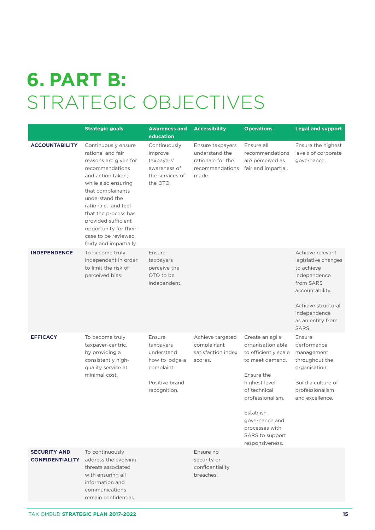# **6. PART B:** STRATEGIC OBJECTIVES

|                                               | <b>Strategic goals</b>                                                                                                                                                                                                                                                                                                   | <b>Awareness and</b><br>education                                                                   | <b>Accessibility</b>                                                                | <b>Operations</b>                                                                                                                                                                                                                                | <b>Legal and support</b>                                                                                                                                                  |
|-----------------------------------------------|--------------------------------------------------------------------------------------------------------------------------------------------------------------------------------------------------------------------------------------------------------------------------------------------------------------------------|-----------------------------------------------------------------------------------------------------|-------------------------------------------------------------------------------------|--------------------------------------------------------------------------------------------------------------------------------------------------------------------------------------------------------------------------------------------------|---------------------------------------------------------------------------------------------------------------------------------------------------------------------------|
| <b>ACCOUNTABILITY</b>                         | Continuously ensure<br>rational and fair<br>reasons are given for<br>recommendations<br>and action taken;<br>while also ensuring<br>that complainants<br>understand the<br>rationale, and feel<br>that the process has<br>provided sufficient<br>opportunity for their<br>case to be reviewed<br>fairly and impartially. | Continuously<br>improve<br>taxpayers'<br>awareness of<br>the services of<br>the OTO.                | Ensure taxpayers<br>understand the<br>rationale for the<br>recommendations<br>made. | Ensure all<br>recommendations<br>are perceived as<br>fair and impartial.                                                                                                                                                                         | Ensure the highest<br>levels of corporate<br>governance.                                                                                                                  |
| <b>INDEPENDENCE</b>                           | To become truly<br>independent in order<br>to limit the risk of<br>perceived bias.                                                                                                                                                                                                                                       | Ensure<br>taxpayers<br>perceive the<br>OTO to be<br>independent.                                    |                                                                                     |                                                                                                                                                                                                                                                  | Achieve relevant<br>legislative changes<br>to achieve<br>independence<br>from SARS<br>accountability.<br>Achieve structural<br>independence<br>as an entity from<br>SARS. |
| <b>EFFICACY</b>                               | To become truly<br>taxpayer-centric,<br>by providing a<br>consistently high-<br>quality service at<br>minimal cost.                                                                                                                                                                                                      | Ensure<br>taxpayers<br>understand<br>how to lodge a<br>complaint.<br>Positive brand<br>recognition. | Achieve targeted<br>complainant<br>satisfaction index<br>scores.                    | Create an agile<br>organisation able<br>to efficiently scale<br>to meet demand.<br>Ensure the<br>highest level<br>of technical<br>professionalism.<br><b>Establish</b><br>governance and<br>processes with<br>SARS to support<br>responsiveness. | Ensure<br>performance<br>management<br>throughout the<br>organisation.<br>Build a culture of<br>professionalism<br>and excellence.                                        |
| <b>SECURITY AND</b><br><b>CONFIDENTIALITY</b> | To continuously<br>address the evolving<br>threats associated<br>with ensuring all<br>information and<br>communications<br>remain confidential.                                                                                                                                                                          |                                                                                                     | Ensure no<br>security or<br>confidentiality<br>breaches.                            |                                                                                                                                                                                                                                                  |                                                                                                                                                                           |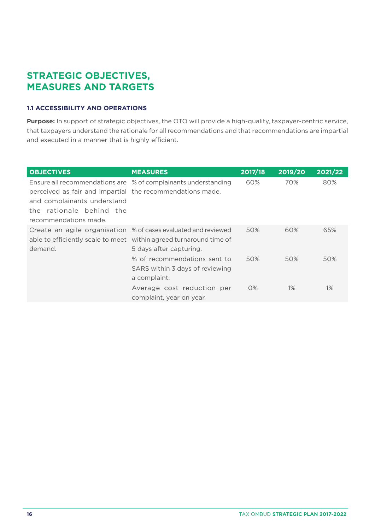# **STRATEGIC OBJECTIVES, MEASURES AND TARGETS**

## **1.1 ACCESSIBILITY AND OPERATIONS**

**Purpose:** In support of strategic objectives, the OTO will provide a high-quality, taxpayer-centric service, that taxpayers understand the rationale for all recommendations and that recommendations are impartial and executed in a manner that is highly efficient.

| <b>OBJECTIVES</b>                                                                                                                                | <b>MEASURES</b>                                                                                                                                                 | 2017/18 | 2019/20 | 2021/22 |
|--------------------------------------------------------------------------------------------------------------------------------------------------|-----------------------------------------------------------------------------------------------------------------------------------------------------------------|---------|---------|---------|
| perceived as fair and impartial the recommendations made.<br>and complainants understand<br>rationale behind the<br>the<br>recommendations made. | Ensure all recommendations are % of complainants understanding                                                                                                  | 60%     | 70%     | 80%     |
| demand.                                                                                                                                          | Create an agile organisation % of cases evaluated and reviewed<br>able to efficiently scale to meet within agreed turnaround time of<br>5 days after capturing. | 50%     | 60%     | 65%     |
|                                                                                                                                                  | % of recommendations sent to<br>SARS within 3 days of reviewing<br>a complaint.                                                                                 | 50%     | 50%     | 50%     |
|                                                                                                                                                  | Average cost reduction per<br>complaint, year on year.                                                                                                          | $O\%$   | $1\%$   | 1%      |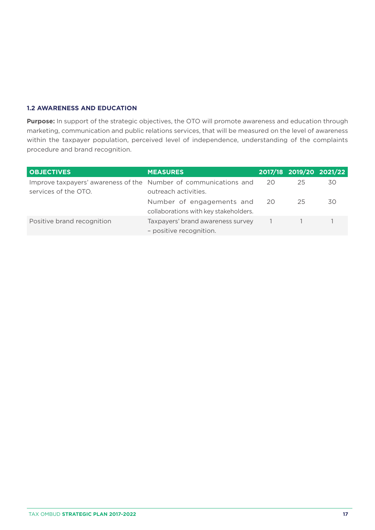## **1.2 AWARENESS AND EDUCATION**

**Purpose:** In support of the strategic objectives, the OTO will promote awareness and education through marketing, communication and public relations services, that will be measured on the level of awareness within the taxpayer population, perceived level of independence, understanding of the complaints procedure and brand recognition.

| <b>OBJECTIVES</b>                                                | <b>MEASURES</b>                       |    | 2017/18 2019/20 2021/22     |    |
|------------------------------------------------------------------|---------------------------------------|----|-----------------------------|----|
| Improve taxpayers' awareness of the Number of communications and |                                       | 20 | 25                          | 30 |
| services of the OTO.                                             | outreach activities.                  |    |                             |    |
|                                                                  | Number of engagements and 20          |    | 25                          | 30 |
|                                                                  | collaborations with key stakeholders. |    |                             |    |
| Positive brand recognition                                       | Taxpayers' brand awareness survey     |    | $1 \quad 1 \quad 1 \quad 1$ |    |
|                                                                  | - positive recognition.               |    |                             |    |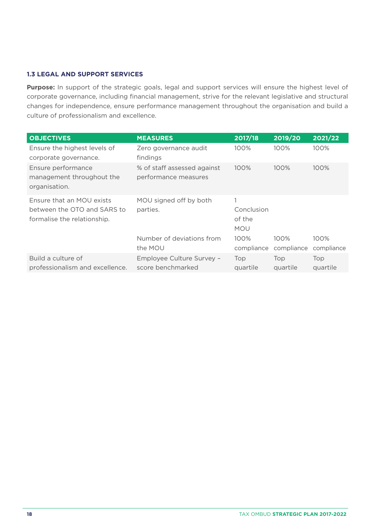### **1.3 LEGAL AND SUPPORT SERVICES**

**Purpose:** In support of the strategic goals, legal and support services will ensure the highest level of corporate governance, including financial management, strive for the relevant legislative and structural changes for independence, ensure performance management throughout the organisation and build a culture of professionalism and excellence.

| <b>OBJECTIVES</b>                                                                       | <b>MEASURES</b>                                                            | 2017/18                                                       | 2019/20            | 2021/22            |
|-----------------------------------------------------------------------------------------|----------------------------------------------------------------------------|---------------------------------------------------------------|--------------------|--------------------|
| Ensure the highest levels of<br>corporate governance.                                   | Zero governance audit<br>findings                                          | 100%                                                          | 100%               | 100%               |
| Ensure performance<br>management throughout the<br>organisation.                        | % of staff assessed against<br>performance measures                        | 100%                                                          | 100%               | 100%               |
| Ensure that an MOU exists<br>between the OTO and SARS to<br>formalise the relationship. | MOU signed off by both<br>parties.<br>Number of deviations from<br>the MOU | 1<br>Conclusion<br>of the<br><b>MOU</b><br>100%<br>compliance | 100%<br>compliance | 100%<br>compliance |
| Build a culture of<br>professionalism and excellence.                                   | Employee Culture Survey -<br>score benchmarked                             | <b>Top</b><br>quartile                                        | Top<br>quartile    | Top<br>quartile    |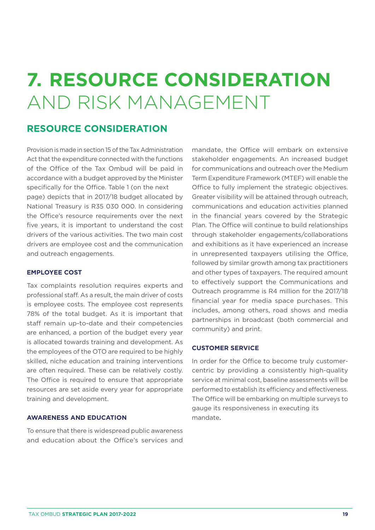# **7. RESOURCE CONSIDERATION**  AND RISK MANAGEMENT

# **RESOURCE CONSIDERATION**

Provision is made in section 15 of the Tax Administration Act that the expenditure connected with the functions of the Office of the Tax Ombud will be paid in accordance with a budget approved by the Minister specifically for the Office. Table 1 (on the next page) depicts that in 2017/18 budget allocated by National Treasury is R35 030 000. In considering the Office's resource requirements over the next five years, it is important to understand the cost drivers of the various activities. The two main cost drivers are employee cost and the communication and outreach engagements.

#### **EMPLOYEE COST**

Tax complaints resolution requires experts and professional staff. As a result, the main driver of costs is employee costs. The employee cost represents 78% of the total budget. As it is important that staff remain up-to-date and their competencies are enhanced, a portion of the budget every year is allocated towards training and development. As the employees of the OTO are required to be highly skilled, niche education and training interventions are often required. These can be relatively costly. The Office is required to ensure that appropriate resources are set aside every year for appropriate training and development.

### **AWARENESS AND EDUCATION**

To ensure that there is widespread public awareness and education about the Office's services and

mandate, the Office will embark on extensive stakeholder engagements. An increased budget for communications and outreach over the Medium Term Expenditure Framework (MTEF) will enable the Office to fully implement the strategic objectives. Greater visibility will be attained through outreach, communications and education activities planned in the financial years covered by the Strategic Plan. The Office will continue to build relationships through stakeholder engagements/collaborations and exhibitions as it have experienced an increase in unrepresented taxpayers utilising the Office, followed by similar growth among tax practitioners and other types of taxpayers. The required amount to effectively support the Communications and Outreach programme is R4 million for the 2017/18 financial year for media space purchases. This includes, among others, road shows and media partnerships in broadcast (both commercial and community) and print.

#### **CUSTOMER SERVICE**

In order for the Office to become truly customercentric by providing a consistently high-quality service at minimal cost, baseline assessments will be performed to establish its efficiency and effectiveness. The Office will be embarking on multiple surveys to gauge its responsiveness in executing its mandate.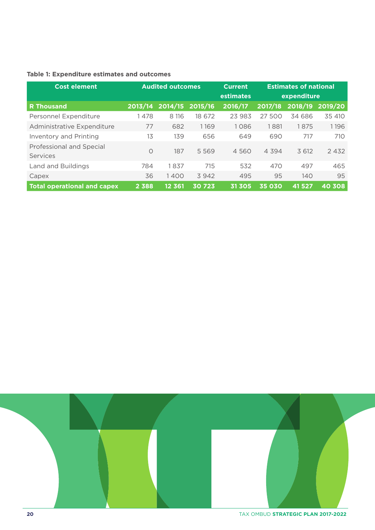# **Table 1: Expenditure estimates and outcomes**

| <b>Cost element</b>                  | <b>Audited outcomes</b> |         |         | <b>Current</b><br>estimates | <b>Estimates of national</b><br>expenditure |         |         |
|--------------------------------------|-------------------------|---------|---------|-----------------------------|---------------------------------------------|---------|---------|
| <b>R</b> Thousand                    | 2013/14                 | 2014/15 | 2015/16 | 2016/17                     | 2017/18                                     | 2018/19 | 2019/20 |
| Personnel Expenditure                | 1478                    | 8 116   | 18 672  | 23 983                      | 27 500                                      | 34 686  | 35 410  |
| Administrative Expenditure           | 77                      | 682     | 1169    | 1086                        | 1881                                        | 1875    | 1196    |
| Inventory and Printing               | 13                      | 139     | 656     | 649                         | 690                                         | 717     | 710     |
| Professional and Special<br>Services | $\Omega$                | 187     | 5569    | 4560                        | 4 3 9 4                                     | 3 6 12  | 2 4 3 2 |
| Land and Buildings                   | 784                     | 1837    | 715     | 532                         | 470                                         | 497     | 465     |
| Capex                                | 36                      | 1400    | 3942    | 495                         | 95                                          | 140     | 95      |
| <b>Total operational and capex</b>   | 2 3 8 8                 | 12 3 61 | 30723   | 31 305                      | 35 030                                      | 41 5 27 | 40 308  |



**20** TAX OMBUD **STRATEGIC PLAN 2017-2022**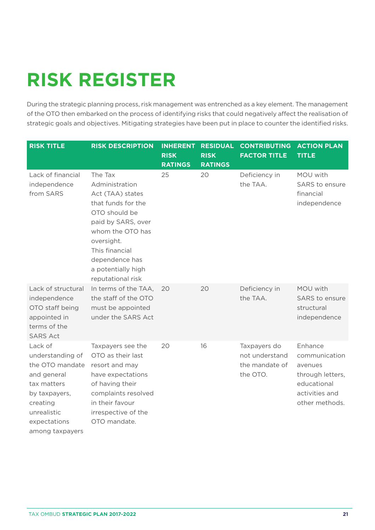# **RISK REGISTER**

During the strategic planning process, risk management was entrenched as a key element. The management of the OTO then embarked on the process of identifying risks that could negatively affect the realisation of strategic goals and objectives. Mitigating strategies have been put in place to counter the identified risks.

| <b>RISK TITLE</b>                                                                                                                                           | <b>RISK DESCRIPTION</b>                                                                                                                                                                                                     | <b>INHERENT</b><br><b>RISK</b><br><b>RATINGS</b> | <b>RESIDUAL</b><br><b>RISK</b><br><b>RATINGS</b> | <b>CONTRIBUTING</b><br><b>FACTOR TITLE</b>                   | <b>ACTION PLAN</b><br><b>TITLE</b>                                                                         |
|-------------------------------------------------------------------------------------------------------------------------------------------------------------|-----------------------------------------------------------------------------------------------------------------------------------------------------------------------------------------------------------------------------|--------------------------------------------------|--------------------------------------------------|--------------------------------------------------------------|------------------------------------------------------------------------------------------------------------|
| Lack of financial<br>independence<br>from SARS                                                                                                              | The Tax<br>Administration<br>Act (TAA) states<br>that funds for the<br>OTO should be<br>paid by SARS, over<br>whom the OTO has<br>oversight.<br>This financial<br>dependence has<br>a potentially high<br>reputational risk | 25                                               | 20                                               | Deficiency in<br>the TAA.                                    | MOU with<br><b>SARS</b> to ensure<br>financial<br>independence                                             |
| Lack of structural<br>independence<br>OTO staff being<br>appointed in<br>terms of the<br><b>SARS Act</b>                                                    | In terms of the TAA,<br>the staff of the OTO<br>must be appointed<br>under the SARS Act                                                                                                                                     | 20                                               | 20                                               | Deficiency in<br>the TAA.                                    | MOU with<br><b>SARS</b> to ensure<br>structural<br>independence                                            |
| Lack of<br>understanding of<br>the OTO mandate<br>and general<br>tax matters<br>by taxpayers,<br>creating<br>unrealistic<br>expectations<br>among taxpayers | Taxpayers see the<br>OTO as their last<br>resort and may<br>have expectations<br>of having their<br>complaints resolved<br>in their favour<br>irrespective of the<br>OTO mandate.                                           | 20                                               | 16                                               | Taxpayers do<br>not understand<br>the mandate of<br>the OTO. | Enhance<br>communication<br>avenues<br>through letters,<br>educational<br>activities and<br>other methods. |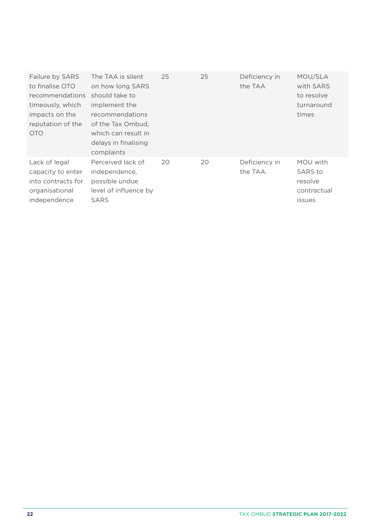| Failure by SARS<br>to finalise OTO<br>recommendations<br>timeously, which<br>impacts on the<br>reputation of the<br><b>OTO</b> | The TAA is silent<br>on how long SARS<br>should take to<br>implement the<br>recommendations<br>of the Tax Ombud.<br>which can result in<br>delays in finalising<br>complaints | 25 | 25 | Deficiency in<br>the TAA  | MOU/SLA<br>with SARS<br>to resolve<br>turnaround<br>times             |
|--------------------------------------------------------------------------------------------------------------------------------|-------------------------------------------------------------------------------------------------------------------------------------------------------------------------------|----|----|---------------------------|-----------------------------------------------------------------------|
| Lack of legal<br>capacity to enter<br>into contracts for<br>organisational<br>independence                                     | Perceived lack of<br>independence,<br>possible undue<br>level of influence by<br><b>SARS</b>                                                                                  | 20 | 20 | Deficiency in<br>the TAA. | MOU with<br><b>SARS</b> to<br>resolve<br>contractual<br><i>issues</i> |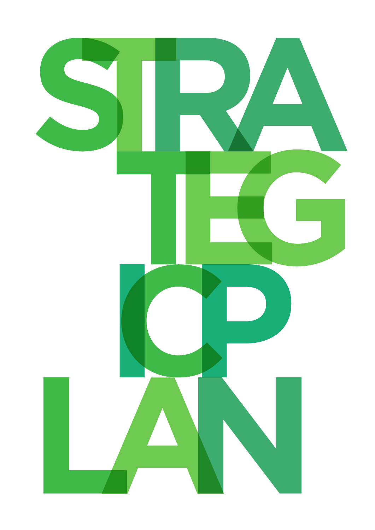